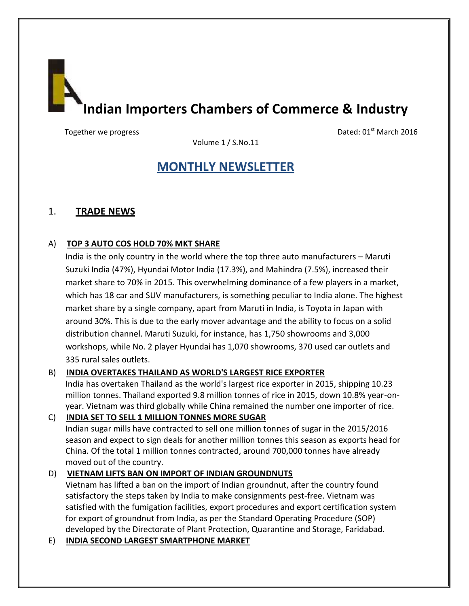**Indian Importers Chambers of Commerce & Industry**

Together we progress **Dated: 01<sup>st</sup> March 2016** 

Volume 1 / S.No.11

# **MONTHLY NEWSLETTER**

# 1. **TRADE NEWS**

# A) **TOP 3 AUTO COS HOLD 70% MKT SHARE**

India is the only country in the world where the top three auto manufacturers – Maruti Suzuki India (47%), Hyundai Motor India (17.3%), and Mahindra (7.5%), increased their market share to 70% in 2015. This overwhelming dominance of a few players in a market, which has 18 car and SUV manufacturers, is something peculiar to India alone. The highest market share by a single company, apart from Maruti in India, is Toyota in Japan with around 30%. This is due to the early mover advantage and the ability to focus on a solid distribution channel. Maruti Suzuki, for instance, has 1,750 showrooms and 3,000 workshops, while No. 2 player Hyundai has 1,070 showrooms, 370 used car outlets and 335 rural sales outlets.

# B) **INDIA OVERTAKES THAILAND AS WORLD'S LARGEST RICE EXPORTER**

India has overtaken Thailand as the world's largest rice exporter in 2015, shipping 10.23 million tonnes. Thailand exported 9.8 million tonnes of rice in 2015, down 10.8% year-onyear. Vietnam was third globally while China remained the number one importer of rice.

# C) **INDIA SET TO SELL 1 MILLION TONNES MORE SUGAR**

Indian sugar mills have contracted to sell one million tonnes of sugar in the 2015/2016 season and expect to sign deals for another million tonnes this season as exports head for China. Of the total 1 million tonnes contracted, around 700,000 tonnes have already moved out of the country.

# D) **VIETNAM LIFTS BAN ON IMPORT OF INDIAN GROUNDNUTS**

Vietnam has lifted a ban on the import of Indian groundnut, after the country found satisfactory the steps taken by India to make consignments pest-free. Vietnam was satisfied with the fumigation facilities, export procedures and export certification system for export of groundnut from India, as per the Standard Operating Procedure (SOP) developed by the Directorate of Plant Protection, Quarantine and Storage, Faridabad.

E) **INDIA SECOND LARGEST SMARTPHONE MARKET**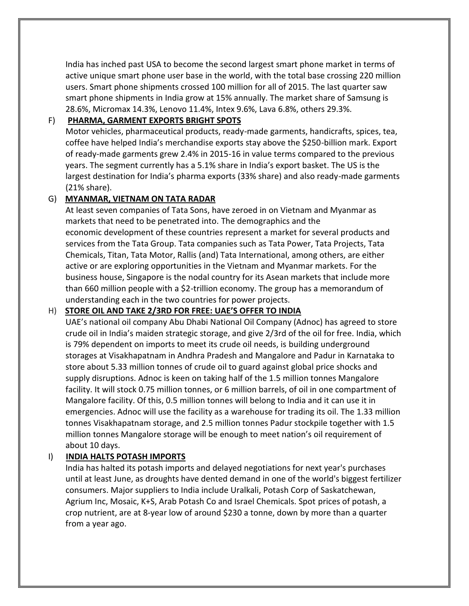India has inched past USA to become the second largest smart phone market in terms of active unique smart phone user base in the world, with the total base crossing 220 million users. Smart phone shipments crossed 100 million for all of 2015. The last quarter saw smart phone shipments in India grow at 15% annually. The market share of Samsung is 28.6%, Micromax 14.3%, Lenovo 11.4%, Intex 9.6%, Lava 6.8%, others 29.3%.

### F) **PHARMA, GARMENT EXPORTS BRIGHT SPOTS**

Motor vehicles, pharmaceutical products, ready-made garments, handicrafts, spices, tea, coffee have helped India's merchandise exports stay above the \$250-billion mark. Export of ready-made garments grew 2.4% in 2015-16 in value terms compared to the previous years. The segment currently has a 5.1% share in India's export basket. The US is the largest destination for India's pharma exports (33% share) and also ready-made garments (21% share).

### G) **MYANMAR, VIETNAM ON TATA RADAR**

At least seven companies of Tata Sons, have zeroed in on Vietnam and Myanmar as markets that need to be penetrated into. The demographics and the economic development of these countries represent a market for several products and services from the Tata Group. Tata companies such as Tata Power, Tata Projects, Tata Chemicals, Titan, Tata Motor, Rallis (and) Tata International, among others, are either active or are exploring opportunities in the Vietnam and Myanmar markets. For the business house, Singapore is the nodal country for its Asean markets that include more than 660 million people with a \$2-trillion economy. The group has a memorandum of understanding each in the two countries for power projects.

### H) **STORE OIL AND TAKE 2/3RD FOR FREE: UAE'S OFFER TO INDIA**

UAE's national oil company Abu Dhabi National Oil Company (Adnoc) has agreed to store crude oil in India's maiden strategic storage, and give 2/3rd of the oil for free. India, which is 79% dependent on imports to meet its crude oil needs, is building underground storages at Visakhapatnam in Andhra Pradesh and Mangalore and Padur in Karnataka to store about 5.33 million tonnes of crude oil to guard against global price shocks and supply disruptions. Adnoc is keen on taking half of the 1.5 million tonnes Mangalore facility. It will stock 0.75 million tonnes, or 6 million barrels, of oil in one compartment of Mangalore facility. Of this, 0.5 million tonnes will belong to India and it can use it in emergencies. Adnoc will use the facility as a warehouse for trading its oil. The 1.33 million tonnes Visakhapatnam storage, and 2.5 million tonnes Padur stockpile together with 1.5 million tonnes Mangalore storage will be enough to meet nation's oil requirement of about 10 days.

### I) **INDIA HALTS POTASH IMPORTS**

India has halted its potash imports and delayed negotiations for next year's purchases until at least June, as droughts have dented demand in one of the world's biggest fertilizer consumers. Major suppliers to India include Uralkali, Potash Corp of Saskatchewan, Agrium Inc, Mosaic, K+S, Arab Potash Co and Israel Chemicals. Spot prices of potash, a crop nutrient, are at 8-year low of around \$230 a tonne, down by more than a quarter from a year ago.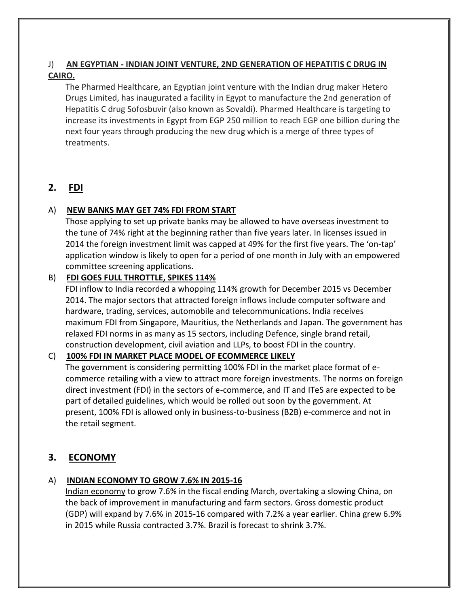# J) **AN EGYPTIAN - INDIAN JOINT VENTURE, 2ND GENERATION OF HEPATITIS C DRUG IN CAIRO.**

The Pharmed Healthcare, an Egyptian joint venture with the Indian drug maker Hetero Drugs Limited, has inaugurated a facility in Egypt to manufacture the 2nd generation of Hepatitis C drug Sofosbuvir (also known as Sovaldi). Pharmed Healthcare is targeting to increase its investments in Egypt from EGP 250 million to reach EGP one billion during the next four years through producing the new drug which is a merge of three types of treatments.

# **2. FDI**

## A) **NEW BANKS MAY GET 74% FDI FROM START**

Those applying to set up private banks may be allowed to have overseas investment to the tune of 74% right at the beginning rather than five years later. In licenses issued in 2014 the foreign investment limit was capped at 49% for the first five years. The 'on-tap' application window is likely to open for a period of one month in July with an empowered committee screening applications.

# B) **FDI GOES FULL THROTTLE, SPIKES 114%**

FDI inflow to India recorded a whopping 114% growth for December 2015 vs December 2014. The major sectors that attracted foreign inflows include computer software and hardware, trading, services, automobile and telecommunications. India receives maximum FDI from Singapore, Mauritius, the Netherlands and Japan. The government has relaxed FDI norms in as many as 15 sectors, including Defence, single brand retail, construction development, civil aviation and LLPs, to boost FDI in the country.

### C) **100% FDI IN MARKET PLACE MODEL OF ECOMMERCE LIKELY**

The government is considering permitting 100% FDI in the market place format of ecommerce retailing with a view to attract more foreign investments. The norms on foreign direct investment (FDI) in the sectors of e-commerce, and IT and ITeS are expected to be part of detailed guidelines, which would be rolled out soon by the government. At present, 100% FDI is allowed only in business-to-business (B2B) e-commerce and not in the retail segment.

# **3. ECONOMY**

# A) **INDIAN ECONOMY TO GROW 7.6% IN 2015-16**

Indian economy to grow 7.6% in the fiscal ending March, overtaking a slowing China, on the back of improvement in manufacturing and farm sectors. Gross domestic product (GDP) will expand by 7.6% in 2015-16 compared with 7.2% a year earlier. China grew 6.9% in 2015 while Russia contracted 3.7%. Brazil is forecast to shrink 3.7%.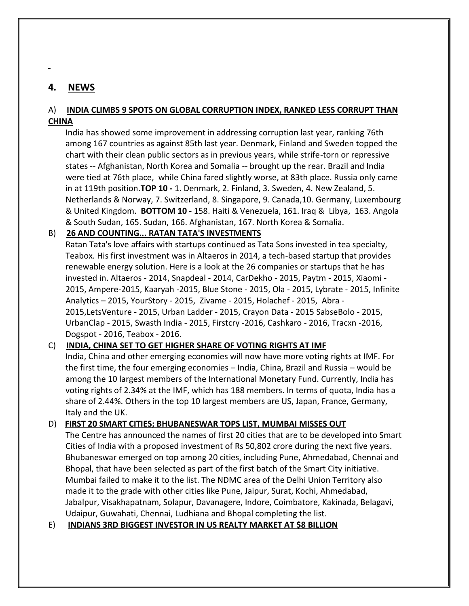# **4. NEWS**

### A) **INDIA CLIMBS 9 SPOTS ON GLOBAL CORRUPTION INDEX, RANKED LESS CORRUPT THAN CHINA**

India has showed some improvement in addressing corruption last year, ranking 76th among 167 countries as against 85th last year. Denmark, Finland and Sweden topped the chart with their clean public sectors as in previous years, while strife-torn or repressive states -- Afghanistan, North Korea and Somalia -- brought up the rear. Brazil and India were tied at 76th place, while China fared slightly worse, at 83th place. Russia only came in at 119th position.**TOP 10 -** 1. Denmark, 2. Finland, 3. Sweden, 4. New Zealand, 5. Netherlands & Norway, 7. Switzerland, 8. Singapore, 9. Canada,10. Germany, Luxembourg & United Kingdom. **BOTTOM 10 -** 158. Haiti & Venezuela, 161. Iraq & Libya, 163. Angola & South Sudan, 165. Sudan, 166. Afghanistan, 167. North Korea & Somalia.

### B) **26 AND COUNTING... RATAN TATA'S INVESTMENTS**

Ratan Tata's love affairs with startups continued as Tata Sons invested in tea specialty, Teabox. His first investment was in Altaeros in 2014, a tech-based startup that provides renewable energy solution. Here is a look at the 26 companies or startups that he has invested in. Altaeros - 2014, Snapdeal - 2014, CarDekho - 2015, Paytm - 2015, Xiaomi - 2015, Ampere-2015, Kaaryah -2015, Blue Stone - 2015, Ola - 2015, Lybrate - 2015, Infinite Analytics – 2015, YourStory - 2015, Zivame - 2015, Holachef - 2015, Abra - 2015,LetsVenture - 2015, Urban Ladder - 2015, Crayon Data - 2015 SabseBolo - 2015, UrbanClap - 2015, Swasth India - 2015, Firstcry -2016, Cashkaro - 2016, Tracxn -2016, Dogspot - 2016, Teabox - 2016.

### C) **INDIA, CHINA SET TO GET HIGHER SHARE OF VOTING RIGHTS AT IMF**

India, China and other emerging economies will now have more voting rights at IMF. For the first time, the four emerging economies – India, China, Brazil and Russia – would be among the 10 largest members of the International Monetary Fund. Currently, India has voting rights of 2.34% at the IMF, which has 188 members. In terms of quota, India has a share of 2.44%. Others in the top 10 largest members are US, Japan, France, Germany, Italy and the UK.

### D) **FIRST 20 SMART CITIES; BHUBANESWAR TOPS LIST, MUMBAI MISSES OUT**

The Centre has announced the names of first 20 cities that are to be developed into Smart Cities of India with a proposed investment of Rs 50,802 crore during the next five years. Bhubaneswar emerged on top among 20 cities, including Pune, Ahmedabad, Chennai and Bhopal, that have been selected as part of the first batch of the Smart City initiative. Mumbai failed to make it to the list. The NDMC area of the Delhi Union Territory also made it to the grade with other cities like Pune, Jaipur, Surat, Kochi, Ahmedabad, Jabalpur, Visakhapatnam, Solapur, Davanagere, Indore, Coimbatore, Kakinada, Belagavi, Udaipur, Guwahati, Chennai, Ludhiana and Bhopal completing the list.

### E) **INDIANS 3RD BIGGEST INVESTOR IN US REALTY MARKET AT \$8 BILLION**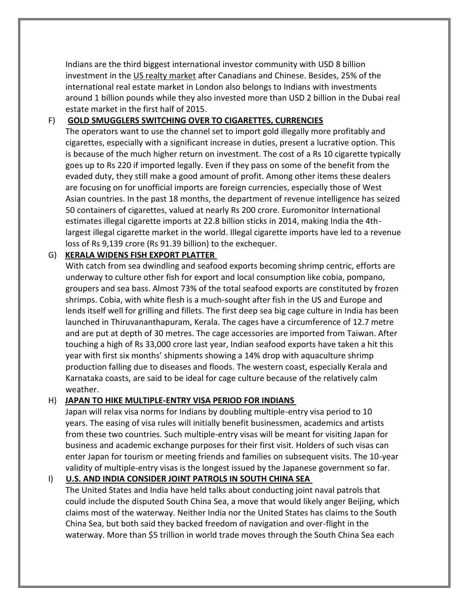Indians are the third biggest international investor community with USD 8 billion investment in the US realty market after Canadians and Chinese. Besides, 25% of the international real estate market in London also belongs to Indians with investments around 1 billion pounds while they also invested more than USD 2 billion in the Dubai real estate market in the first half of 2015.

### F) **GOLD SMUGGLERS SWITCHING OVER TO CIGARETTES, CURRENCIES**

The operators want to use the channel set to import gold illegally more profitably and cigarettes, especially with a significant increase in duties, present a lucrative option. This is because of the much higher return on investment. The cost of a Rs 10 cigarette typically goes up to Rs 220 if imported legally. Even if they pass on some of the benefit from the evaded duty, they still make a good amount of profit. Among other items these dealers are focusing on for unofficial imports are foreign currencies, especially those of West Asian countries. In the past 18 months, the department of revenue intelligence has seized 50 containers of cigarettes, valued at nearly Rs 200 crore. Euromonitor International estimates illegal cigarette imports at 22.8 billion sticks in 2014, making India the 4thlargest illegal cigarette market in the world. Illegal cigarette imports have led to a revenue loss of Rs 9,139 crore (Rs 91.39 billion) to the exchequer.

### G) **KERALA WIDENS FISH EXPORT PLATTER**

With catch from sea dwindling and seafood exports becoming shrimp centric, efforts are underway to culture other fish for export and local consumption like cobia, pompano, groupers and sea bass. Almost 73% of the total seafood exports are constituted by frozen shrimps. Cobia, with white flesh is a much-sought after fish in the US and Europe and lends itself well for grilling and fillets. The first deep sea big cage culture in India has been launched in Thiruvananthapuram, Kerala. The cages have a circumference of 12.7 metre and are put at depth of 30 metres. The cage accessories are imported from Taiwan. After touching a high of Rs 33,000 crore last year, Indian seafood exports have taken a hit this year with first six months' shipments showing a 14% drop with aquaculture shrimp production falling due to diseases and floods. The western coast, especially Kerala and Karnataka coasts, are said to be ideal for cage culture because of the relatively calm weather.

### H) **JAPAN TO HIKE MULTIPLE-ENTRY VISA PERIOD FOR INDIANS**

Japan will relax visa norms for Indians by doubling multiple-entry visa period to 10 years. The easing of visa rules will initially benefit businessmen, academics and artists from these two countries. Such multiple-entry visas will be meant for visiting Japan for business and academic exchange purposes for their first visit. Holders of such visas can enter Japan for tourism or meeting friends and families on subsequent visits. The 10-year validity of multiple-entry visas is the longest issued by the Japanese government so far.

### I) **U.S. AND INDIA CONSIDER JOINT PATROLS IN SOUTH CHINA SEA**

The United States and India have held talks about conducting joint naval patrols that could include the disputed South China Sea, a move that would likely anger Beijing, which claims most of the waterway. Neither India nor the United States has claims to the South China Sea, but both said they backed freedom of navigation and over-flight in the waterway. More than \$5 trillion in world trade moves through the South China Sea each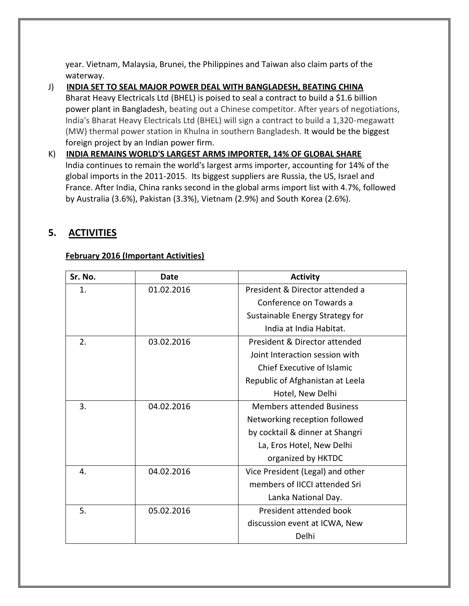year. Vietnam, Malaysia, Brunei, the Philippines and Taiwan also claim parts of the waterway.

- J) **INDIA SET TO SEAL MAJOR POWER DEAL WITH BANGLADESH, BEATING CHINA** Bharat Heavy Electricals Ltd (BHEL) is poised to seal a contract to build a \$1.6 billion power plant in Bangladesh, beating out a Chinese competitor. After years of negotiations, India's Bharat Heavy Electricals Ltd (BHEL) will sign a contract to build a 1,320-megawatt (MW) thermal power station in Khulna in southern Bangladesh. It would be the biggest foreign project by an Indian power firm.
- K) **INDIA REMAINS WORLD'S LARGEST ARMS IMPORTER, 14% OF GLOBAL SHARE** India continues to remain the world's largest arms importer, accounting for 14% of the global imports in the 2011-2015. Its biggest suppliers are Russia, the US, Israel and France. After India, China ranks second in the global arms import list with 4.7%, followed by Australia (3.6%), Pakistan (3.3%), Vietnam (2.9%) and South Korea (2.6%).

# **5. ACTIVITIES**

## **February 2016 (Important Activities)**

| Sr. No. | Date       | <b>Activity</b>                   |
|---------|------------|-----------------------------------|
| 1.      | 01.02.2016 | President & Director attended a   |
|         |            | Conference on Towards a           |
|         |            | Sustainable Energy Strategy for   |
|         |            | India at India Habitat.           |
| 2.      | 03.02.2016 | President & Director attended     |
|         |            | Joint Interaction session with    |
|         |            | <b>Chief Executive of Islamic</b> |
|         |            | Republic of Afghanistan at Leela  |
|         |            | Hotel, New Delhi                  |
| 3.      | 04.02.2016 | <b>Members attended Business</b>  |
|         |            | Networking reception followed     |
|         |            | by cocktail & dinner at Shangri   |
|         |            | La, Eros Hotel, New Delhi         |
|         |            | organized by HKTDC                |
| 4.      | 04.02.2016 | Vice President (Legal) and other  |
|         |            | members of IICCI attended Sri     |
|         |            | Lanka National Day.               |
| 5.      | 05.02.2016 | President attended book           |
|         |            | discussion event at ICWA, New     |
|         |            | Delhi                             |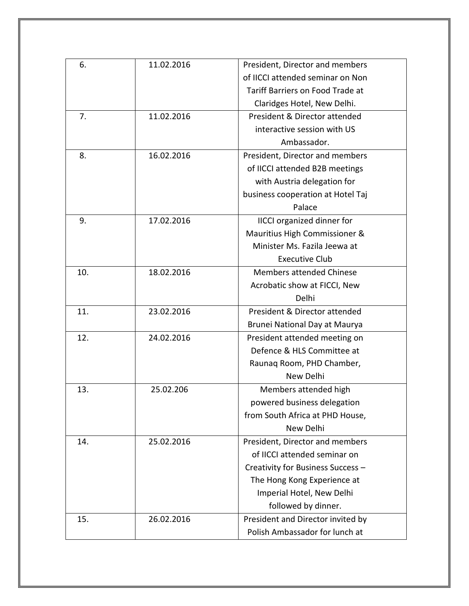| 6.  | 11.02.2016 | President, Director and members   |
|-----|------------|-----------------------------------|
|     |            | of IICCI attended seminar on Non  |
|     |            | Tariff Barriers on Food Trade at  |
|     |            | Claridges Hotel, New Delhi.       |
| 7.  | 11.02.2016 | President & Director attended     |
|     |            | interactive session with US       |
|     |            | Ambassador.                       |
| 8.  | 16.02.2016 | President, Director and members   |
|     |            | of IICCI attended B2B meetings    |
|     |            | with Austria delegation for       |
|     |            | business cooperation at Hotel Taj |
|     |            | Palace                            |
| 9.  | 17.02.2016 | <b>IICCI</b> organized dinner for |
|     |            | Mauritius High Commissioner &     |
|     |            | Minister Ms. Fazila Jeewa at      |
|     |            | <b>Executive Club</b>             |
| 10. | 18.02.2016 | <b>Members attended Chinese</b>   |
|     |            | Acrobatic show at FICCI, New      |
|     |            | Delhi                             |
| 11. | 23.02.2016 | President & Director attended     |
|     |            | Brunei National Day at Maurya     |
| 12. | 24.02.2016 | President attended meeting on     |
|     |            | Defence & HLS Committee at        |
|     |            | Raunaq Room, PHD Chamber,         |
|     |            | New Delhi                         |
| 13. | 25.02.206  | Members attended high             |
|     |            | powered business delegation       |
|     |            | from South Africa at PHD House,   |
|     |            | New Delhi                         |
| 14. | 25.02.2016 | President, Director and members   |
|     |            | of IICCI attended seminar on      |
|     |            | Creativity for Business Success - |
|     |            | The Hong Kong Experience at       |
|     |            | Imperial Hotel, New Delhi         |
|     |            | followed by dinner.               |
| 15. | 26.02.2016 | President and Director invited by |
|     |            | Polish Ambassador for lunch at    |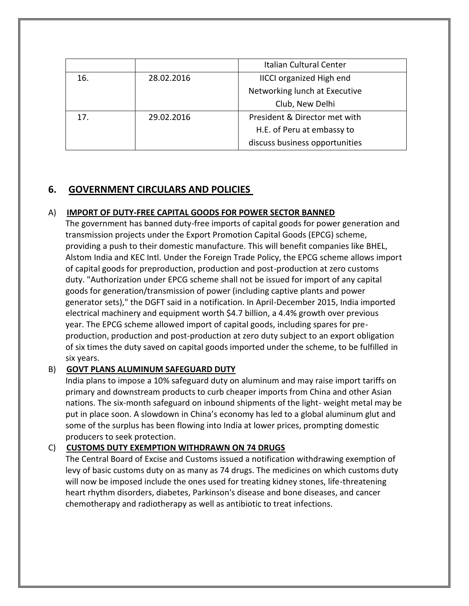|     |            | Italian Cultural Center         |
|-----|------------|---------------------------------|
| 16. | 28.02.2016 | <b>IICCI organized High end</b> |
|     |            | Networking lunch at Executive   |
|     |            | Club, New Delhi                 |
| 17. | 29.02.2016 | President & Director met with   |
|     |            | H.E. of Peru at embassy to      |
|     |            | discuss business opportunities  |

# **6. GOVERNMENT CIRCULARS AND POLICIES**

### A) **IMPORT OF DUTY-FREE CAPITAL GOODS FOR POWER SECTOR BANNED**

The government has banned duty-free imports of capital goods for power generation and transmission projects under the Export Promotion Capital Goods (EPCG) scheme, providing a push to their domestic manufacture. This will benefit companies like BHEL, Alstom India and KEC Intl. Under the Foreign Trade Policy, the EPCG scheme allows import of capital goods for preproduction, production and post-production at zero customs duty. "Authorization under EPCG scheme shall not be issued for import of any capital goods for generation/transmission of power (including captive plants and power generator sets)," the DGFT said in a notification. In April-December 2015, India imported electrical machinery and equipment worth \$4.7 billion, a 4.4% growth over previous year. The EPCG scheme allowed import of capital goods, including spares for preproduction, production and post-production at zero duty subject to an export obligation of six times the duty saved on capital goods imported under the scheme, to be fulfilled in six years.

### B) **GOVT PLANS ALUMINUM SAFEGUARD DUTY**

India plans to impose a 10% safeguard duty on aluminum and may raise import tariffs on primary and downstream products to curb cheaper imports from China and other Asian nations. The six-month safeguard on inbound shipments of the light- weight metal may be put in place soon. A slowdown in China's economy has led to a global aluminum glut and some of the surplus has been flowing into India at lower prices, prompting domestic producers to seek protection.

### C) **CUSTOMS DUTY EXEMPTION WITHDRAWN ON 74 DRUGS**

The Central Board of Excise and Customs issued a notification withdrawing exemption of levy of basic customs duty on as many as 74 drugs. The medicines on which customs duty will now be imposed include the ones used for treating kidney stones, life-threatening heart rhythm disorders, diabetes, Parkinson's disease and bone diseases, and cancer chemotherapy and radiotherapy as well as antibiotic to treat infections.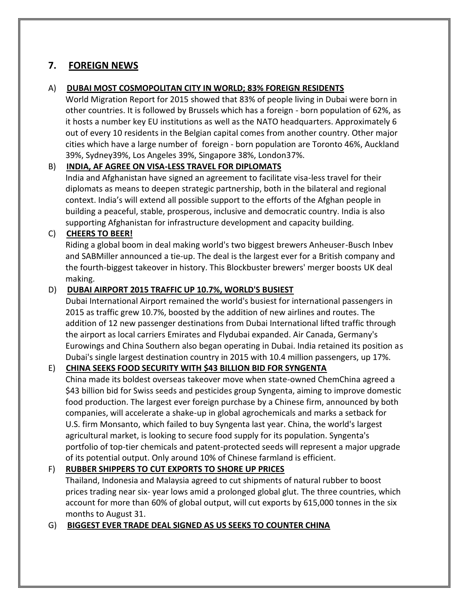# **7. FOREIGN NEWS**

### A) **DUBAI MOST COSMOPOLITAN CITY IN WORLD; 83% FOREIGN RESIDENTS**

World Migration Report for 2015 showed that 83% of people living in Dubai were born in other countries. It is followed by Brussels which has a foreign - born population of 62%, as it hosts a number key EU institutions as well as the NATO headquarters. Approximately 6 out of every 10 residents in the Belgian capital comes from another country. Other major cities which have a large number of foreign - born population are Toronto 46%, Auckland 39%, Sydney39%, Los Angeles 39%, Singapore 38%, London37%.

## B) **INDIA, AF AGREE ON VISA-LESS TRAVEL FOR DIPLOMATS**

India and Afghanistan have signed an agreement to facilitate visa-less travel for their diplomats as means to deepen strategic partnership, both in the bilateral and regional context. India's will extend all possible support to the efforts of the Afghan people in building a peaceful, stable, prosperous, inclusive and democratic country. India is also supporting Afghanistan for infrastructure development and capacity building.

# C) **CHEERS TO BEER!**

Riding a global boom in deal making world's two biggest brewers Anheuser-Busch Inbev and SABMiller announced a tie-up. The deal is the largest ever for a British company and the fourth-biggest takeover in history. This Blockbuster brewers' merger boosts UK deal making.

## D) **DUBAI AIRPORT 2015 TRAFFIC UP 10.7%, WORLD'S BUSIEST**

Dubai International Airport remained the world's busiest for international passengers in 2015 as traffic grew 10.7%, boosted by the addition of new airlines and routes. The addition of 12 new passenger destinations from Dubai International lifted traffic through the airport as local carriers Emirates and Flydubai expanded. Air Canada, Germany's Eurowings and China Southern also began operating in Dubai. India retained its position as Dubai's single largest destination country in 2015 with 10.4 million passengers, up 17%.

# E) **CHINA SEEKS FOOD SECURITY WITH \$43 BILLION BID FOR SYNGENTA**

China made its boldest overseas takeover move when state-owned ChemChina agreed a \$43 billion bid for Swiss seeds and pesticides group Syngenta, aiming to improve domestic food production. The largest ever foreign purchase by a Chinese firm, announced by both companies, will accelerate a shake-up in global agrochemicals and marks a setback for U.S. firm Monsanto, which failed to buy Syngenta last year. China, the world's largest agricultural market, is looking to secure food supply for its population. Syngenta's portfolio of top-tier chemicals and patent-protected seeds will represent a major upgrade of its potential output. Only around 10% of Chinese farmland is efficient.

# F) **RUBBER SHIPPERS TO CUT EXPORTS TO SHORE UP PRICES**

Thailand, Indonesia and Malaysia agreed to cut shipments of natural rubber to boost prices trading near six- year lows amid a prolonged global glut. The three countries, which account for more than 60% of global output, will cut exports by 615,000 tonnes in the six months to August 31.

### G) **BIGGEST EVER TRADE DEAL SIGNED AS US SEEKS TO COUNTER CHINA**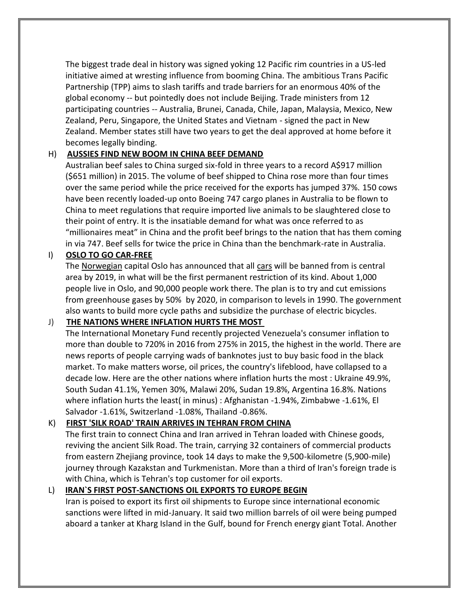The biggest trade deal in history was signed yoking 12 Pacific rim countries in a US-led initiative aimed at wresting influence from booming China. The ambitious Trans Pacific Partnership (TPP) aims to slash tariffs and trade barriers for an enormous 40% of the global economy -- but pointedly does not include Beijing. Trade ministers from 12 participating countries -- Australia, Brunei, Canada, Chile, Japan, Malaysia, Mexico, New Zealand, Peru, Singapore, the United States and Vietnam - signed the pact in New Zealand. Member states still have two years to get the deal approved at home before it becomes legally binding.

## H) **AUSSIES FIND NEW BOOM IN CHINA BEEF DEMAND**

Australian beef sales to China surged six-fold in three years to a record A\$917 million (\$651 million) in 2015. The volume of beef shipped to China rose more than four times over the same period while the price received for the exports has jumped 37%. 150 cows have been recently loaded-up onto Boeing 747 cargo planes in Australia to be flown to China to meet regulations that require imported live animals to be slaughtered close to their point of entry. It is the insatiable demand for what was once referred to as "millionaires meat" in China and the profit beef brings to the nation that has them coming in via 747. Beef sells for twice the price in China than the benchmark-rate in Australia.

# I) **OSLO TO GO CAR-FREE**

The Norwegian capital Oslo has announced that all cars will be banned from is central area by 2019, in what will be the first permanent restriction of its kind. About 1,000 people live in Oslo, and 90,000 people work there. The plan is to try and cut emissions from greenhouse gases by 50% by 2020, in comparison to levels in 1990. The government also wants to build more cycle paths and subsidize the purchase of electric bicycles.

# J) **THE NATIONS WHERE INFLATION HURTS THE MOST**

The International Monetary Fund recently projected Venezuela's consumer inflation to more than double to 720% in 2016 from 275% in 2015, the highest in the world. There are news reports of people carrying wads of banknotes just to buy basic food in the black market. To make matters worse, oil prices, the country's lifeblood, have collapsed to a decade low. Here are the other nations where inflation hurts the most : Ukraine 49.9%, South Sudan 41.1%, Yemen 30%, Malawi 20%, Sudan 19.8%, Argentina 16.8%. Nations where inflation hurts the least( in minus) : Afghanistan -1.94%, Zimbabwe -1.61%, El Salvador -1.61%, Switzerland -1.08%, Thailand -0.86%.

# K) **FIRST 'SILK ROAD' TRAIN ARRIVES IN TEHRAN FROM CHINA**

The first train to connect China and Iran arrived in Tehran loaded with Chinese goods, reviving the ancient Silk Road. The train, carrying 32 containers of commercial products from eastern Zhejiang province, took 14 days to make the 9,500-kilometre (5,900-mile) journey through Kazakstan and Turkmenistan. More than a third of Iran's foreign trade is with China, which is Tehran's top customer for oil exports.

# L) **IRAN`S FIRST POST-SANCTIONS OIL EXPORTS TO EUROPE BEGIN**

Iran is poised to export its first oil shipments to Europe since international economic sanctions were lifted in mid-January. It said two million barrels of oil were being pumped aboard a tanker at Kharg Island in the Gulf, bound for French energy giant Total. Another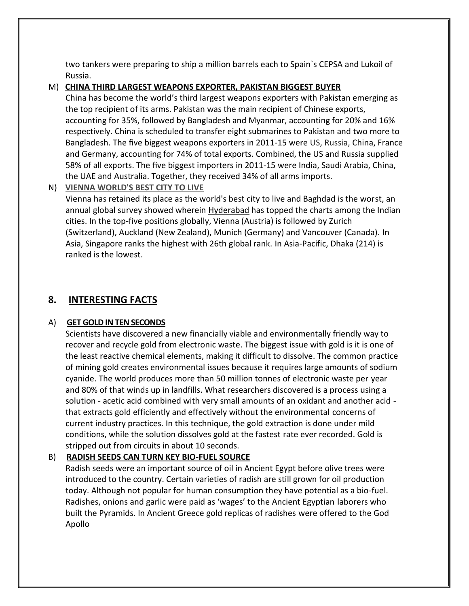two tankers were preparing to ship a million barrels each to Spain`s CEPSA and Lukoil of Russia.

## M) **CHINA THIRD LARGEST WEAPONS EXPORTER, PAKISTAN BIGGEST BUYER**

China has become the world's third largest weapons exporters with Pakistan emerging as the top recipient of its arms. Pakistan was the main recipient of Chinese exports, accounting for 35%, followed by Bangladesh and Myanmar, accounting for 20% and 16% respectively. China is scheduled to transfer eight submarines to Pakistan and two more to Bangladesh. The five biggest weapons exporters in 2011-15 were US, Russia, China, France and Germany, accounting for 74% of total exports. Combined, the US and Russia supplied 58% of all exports. The five biggest importers in 2011-15 were India, Saudi Arabia, China, the UAE and Australia. Together, they received 34% of all arms imports.

## N) **VIENNA WORLD'S BEST CITY TO LIVE**

Vienna has retained its place as the world's best city to live and Baghdad is the worst, an annual global survey showed wherein **Hyderabad** has topped the charts among the Indian cities. In the top-five positions globally, Vienna (Austria) is followed by Zurich (Switzerland), Auckland (New Zealand), Munich (Germany) and Vancouver (Canada). In Asia, Singapore ranks the highest with 26th global rank. In Asia-Pacific, Dhaka (214) is ranked is the lowest.

# **8. INTERESTING FACTS**

# A) **GET GOLD IN TEN SECONDS**

Scientists have discovered a new financially viable and environmentally friendly way to recover and recycle gold from electronic waste. The biggest issue with gold is it is one of the least reactive chemical elements, making it difficult to dissolve. The common practice of mining gold creates environmental issues because it requires large amounts of sodium cyanide. The world produces more than 50 million tonnes of electronic waste per year and 80% of that winds up in landfills. What researchers discovered is a process using a solution - acetic acid combined with very small amounts of an oxidant and another acid that extracts gold efficiently and effectively without the environmental concerns of current industry practices. In this technique, the gold extraction is done under mild conditions, while the solution dissolves gold at the fastest rate ever recorded. Gold is stripped out from circuits in about 10 seconds.

# B) **RADISH SEEDS CAN TURN KEY BIO-FUEL SOURCE**

Radish seeds were an important source of oil in Ancient Egypt before olive trees were introduced to the country. Certain varieties of radish are still grown for oil production today. Although not popular for human consumption they have potential as a bio-fuel. Radishes, onions and garlic were paid as 'wages' to the Ancient Egyptian laborers who built the Pyramids. In Ancient Greece gold replicas of radishes were offered to the God Apollo